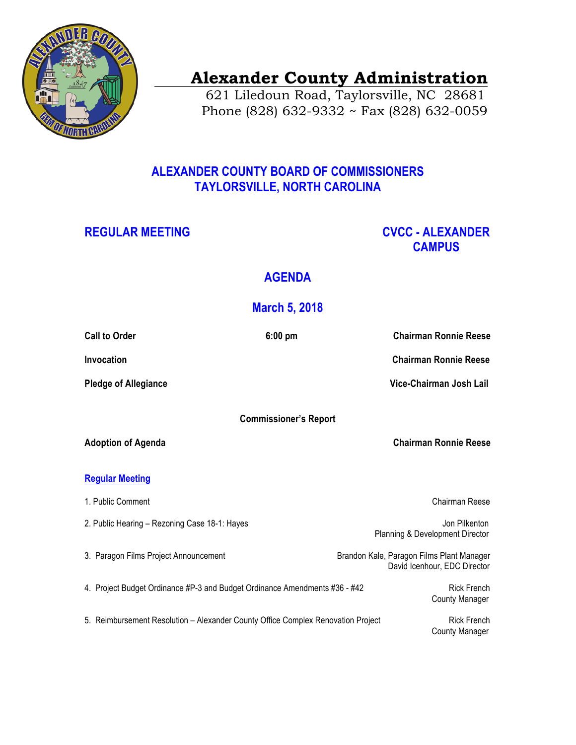

# **Alexander County Administration**

 621 Liledoun Road, Taylorsville, NC 28681 Phone (828) 632-9332 ~ Fax (828) 632-0059

## **ALEXANDER COUNTY BOARD OF COMMISSIONERS TAYLORSVILLE, NORTH CAROLINA**

## **REGULAR MEETING CVCC - ALEXANDER CAMPUS**

## **AGENDA**

## **March 5, 2018**

| <b>Call to Order</b>                                                             | $6:00$ pm | <b>Chairman Ronnie Reese</b>                                              |
|----------------------------------------------------------------------------------|-----------|---------------------------------------------------------------------------|
| Invocation                                                                       |           | <b>Chairman Ronnie Reese</b>                                              |
| <b>Pledge of Allegiance</b>                                                      |           | Vice-Chairman Josh Lail                                                   |
| <b>Commissioner's Report</b>                                                     |           |                                                                           |
| <b>Adoption of Agenda</b>                                                        |           | <b>Chairman Ronnie Reese</b>                                              |
| <b>Regular Meeting</b>                                                           |           |                                                                           |
| 1. Public Comment                                                                |           | Chairman Reese                                                            |
| 2. Public Hearing - Rezoning Case 18-1: Hayes                                    |           | Jon Pilkenton<br>Planning & Development Director                          |
| 3. Paragon Films Project Announcement                                            |           | Brandon Kale, Paragon Films Plant Manager<br>David Icenhour, EDC Director |
| 4. Project Budget Ordinance #P-3 and Budget Ordinance Amendments #36 - #42       |           | <b>Rick French</b><br><b>County Manager</b>                               |
| 5. Reimbursement Resolution - Alexander County Office Complex Renovation Project |           | <b>Rick French</b><br><b>County Manager</b>                               |